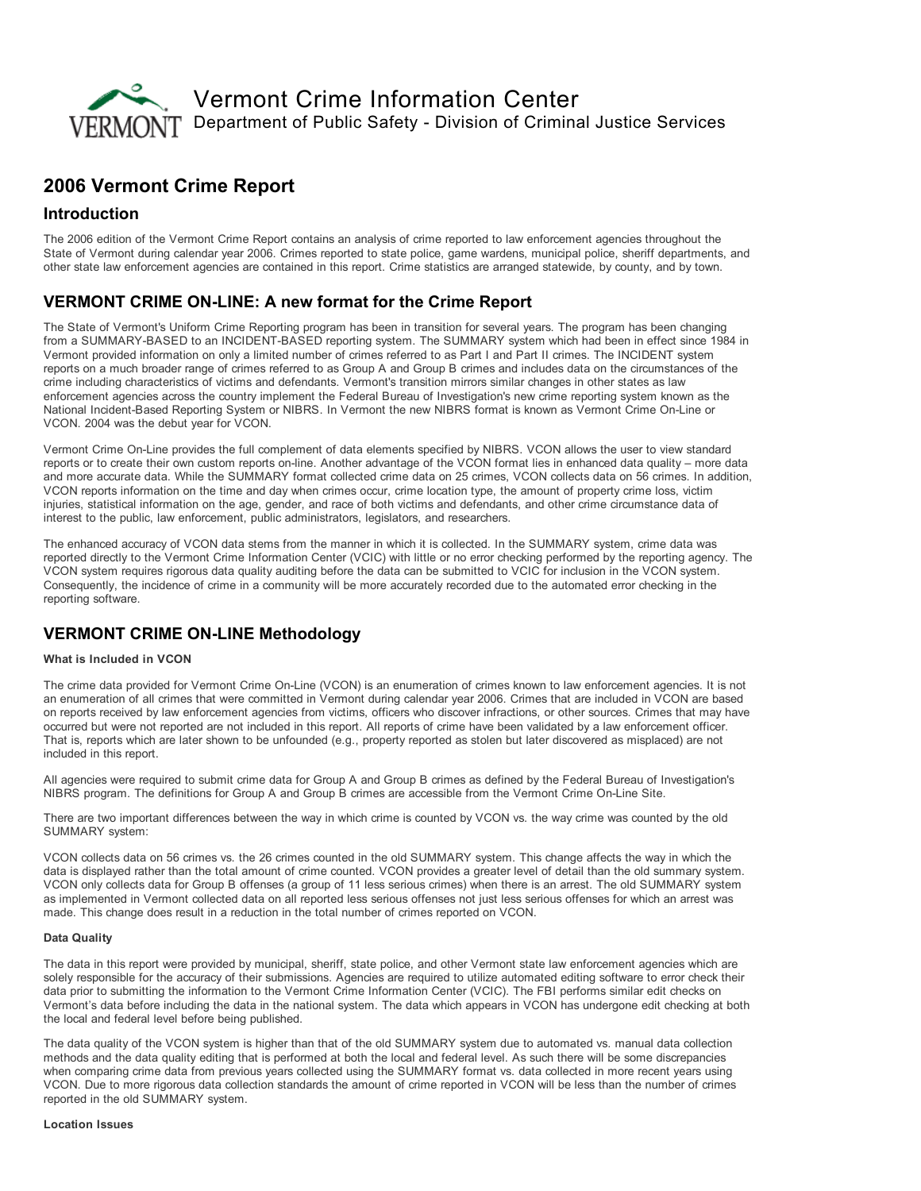

# 2006 Vermont Crime Report

### Introduction

The 2006 edition of the Vermont Crime Report contains an analysis of crime reported to law enforcement agencies throughout the State of Vermont during calendar year 2006. Crimes reported to state police, game wardens, municipal police, sheriff departments, and other state law enforcement agencies are contained in this report. Crime statistics are arranged statewide, by county, and by town.

## VERMONT CRIME ON-LINE: A new format for the Crime Report

The State of Vermont's Uniform Crime Reporting program has been in transition for several years. The program has been changing from a SUMMARY-BASED to an INCIDENT-BASED reporting system. The SUMMARY system which had been in effect since 1984 in Vermont provided information on only a limited number of crimes referred to as Part I and Part II crimes. The INCIDENT system reports on a much broader range of crimes referred to as Group A and Group B crimes and includes data on the circumstances of the crime including characteristics of victims and defendants. Vermont's transition mirrors similar changes in other states as law enforcement agencies across the country implement the Federal Bureau of Investigation's new crime reporting system known as the National Incident-Based Reporting System or NIBRS. In Vermont the new NIBRS format is known as Vermont Crime On-Line or VCON. 2004 was the debut year for VCON.

Vermont Crime OnLine provides the full complement of data elements specified by NIBRS. VCON allows the user to view standard reports or to create their own custom reports on-line. Another advantage of the VCON format lies in enhanced data quality – more data and more accurate data. While the SUMMARY format collected crime data on 25 crimes, VCON collects data on 56 crimes. In addition, VCON reports information on the time and day when crimes occur, crime location type, the amount of property crime loss, victim injuries, statistical information on the age, gender, and race of both victims and defendants, and other crime circumstance data of interest to the public, law enforcement, public administrators, legislators, and researchers.

The enhanced accuracy of VCON data stems from the manner in which it is collected. In the SUMMARY system, crime data was reported directly to the Vermont Crime Information Center (VCIC) with little or no error checking performed by the reporting agency. The VCON system requires rigorous data quality auditing before the data can be submitted to VCIC for inclusion in the VCON system. Consequently, the incidence of crime in a community will be more accurately recorded due to the automated error checking in the reporting software.

## **VERMONT CRIME ON-LINE Methodology**

#### What is Included in VCON

The crime data provided for Vermont Crime OnLine (VCON) is an enumeration of crimes known to law enforcement agencies. It is not an enumeration of all crimes that were committed in Vermont during calendar year 2006. Crimes that are included in VCON are based on reports received by law enforcement agencies from victims, officers who discover infractions, or other sources. Crimes that may have occurred but were not reported are not included in this report. All reports of crime have been validated by a law enforcement officer. That is, reports which are later shown to be unfounded (e.g., property reported as stolen but later discovered as misplaced) are not included in this report.

All agencies were required to submit crime data for Group A and Group B crimes as defined by the Federal Bureau of Investigation's NIBRS program. The definitions for Group A and Group B crimes are accessible from the Vermont Crime On-Line Site.

There are two important differences between the way in which crime is counted by VCON vs. the way crime was counted by the old SUMMARY system:

VCON collects data on 56 crimes vs. the 26 crimes counted in the old SUMMARY system. This change affects the way in which the data is displayed rather than the total amount of crime counted. VCON provides a greater level of detail than the old summary system. VCON only collects data for Group B offenses (a group of 11 less serious crimes) when there is an arrest. The old SUMMARY system as implemented in Vermont collected data on all reported less serious offenses not just less serious offenses for which an arrest was made. This change does result in a reduction in the total number of crimes reported on VCON.

#### Data Quality

The data in this report were provided by municipal, sheriff, state police, and other Vermont state law enforcement agencies which are solely responsible for the accuracy of their submissions. Agencies are required to utilize automated editing software to error check their data prior to submitting the information to the Vermont Crime Information Center (VCIC). The FBI performs similar edit checks on Vermont's data before including the data in the national system. The data which appears in VCON has undergone edit checking at both the local and federal level before being published.

The data quality of the VCON system is higher than that of the old SUMMARY system due to automated vs. manual data collection methods and the data quality editing that is performed at both the local and federal level. As such there will be some discrepancies when comparing crime data from previous years collected using the SUMMARY format vs. data collected in more recent years using VCON. Due to more rigorous data collection standards the amount of crime reported in VCON will be less than the number of crimes reported in the old SUMMARY system.

#### Location Issues